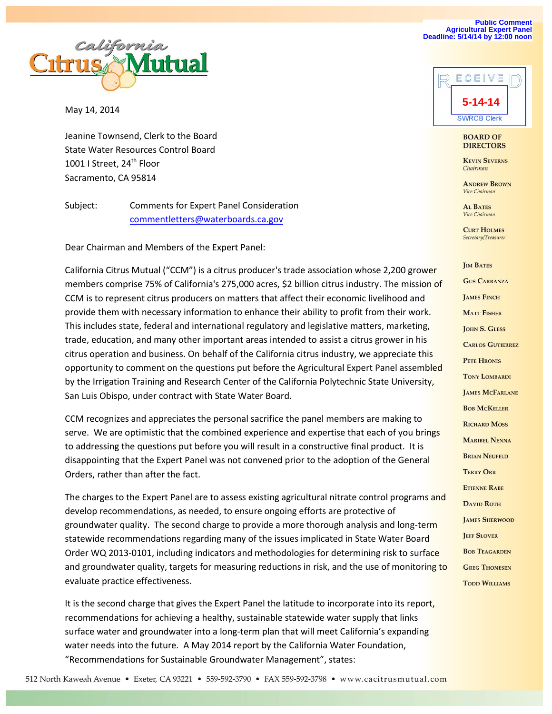

May 14, 2014

Jeanine Townsend, Clerk to the Board State Water Resources Control Board 1001 I Street, 24<sup>th</sup> Floor Sacramento, CA 95814

Subject: Comments for Expert Panel Consideration [commentletters@waterboards.ca.gov](mailto:commentletters@waterboards.ca.gov)

Dear Chairman and Members of the Expert Panel:

California Citrus Mutual ("CCM") is a citrus producer's trade association whose 2,200 grower members comprise 75% of California's 275,000 acres, \$2 billion citrus industry. The mission of CCM is to represent citrus producers on matters that affect their economic livelihood and provide them with necessary information to enhance their ability to profit from their work. This includes state, federal and international regulatory and legislative matters, marketing, trade, education, and many other important areas intended to assist a citrus grower in his citrus operation and business. On behalf of the California citrus industry, we appreciate this opportunity to comment on the questions put before the Agricultural Expert Panel assembled by the Irrigation Training and Research Center of the California Polytechnic State University, San Luis Obispo, under contract with State Water Board.

CCM recognizes and appreciates the personal sacrifice the panel members are making to serve. We are optimistic that the combined experience and expertise that each of you brings to addressing the questions put before you will result in a constructive final product. It is disappointing that the Expert Panel was not convened prior to the adoption of the General Orders, rather than after the fact.

The charges to the Expert Panel are to assess existing agricultural nitrate control programs and develop recommendations, as needed, to ensure ongoing efforts are protective of groundwater quality. The second charge to provide a more thorough analysis and long-term statewide recommendations regarding many of the issues implicated in State Water Board Order WQ 2013-0101, including indicators and methodologies for determining risk to surface and groundwater quality, targets for measuring reductions in risk, and the use of monitoring to evaluate practice effectiveness.

It is the second charge that gives the Expert Panel the latitude to incorporate into its report, recommendations for achieving a healthy, sustainable statewide water supply that links surface water and groundwater into a long-term plan that will meet California's expanding water needs into the future. A May 2014 report by the California Water Foundation, "Recommendations for Sustainable Groundwater Management", states:





#### **BOARD OF DIRECTORS**

**KEVIN SEVERNS** Chairman

**ANDREW BROWN** Vice Chairman

**AL BATES** Vice Chairman

**CURT HOLMES** Secretary/Treasurer

**IM BATES GUS CARRANZA LAMES FINCH MATT FISHER JOHN S. GLESS CARLOS GUTIERREZ PETE HRONIS TONY LOMBARDI JAMES MCFARLANE BOB MCKELLER RICHARD MOSS MARIBEL NENNA BRIAN NEUFELD TERRY ORR ETIENNE RABE DAVID ROTH JAMES SHERWOOD JEFF SLOVER BOB TEAGARDEN GREG THONESEN TODD WILLIAMS**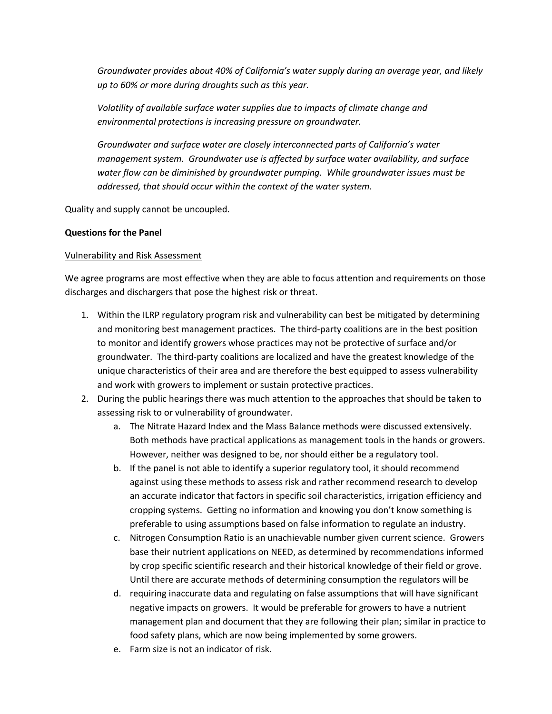*Groundwater provides about 40% of California's water supply during an average year, and likely up to 60% or more during droughts such as this year.*

*Volatility of available surface water supplies due to impacts of climate change and environmental protections is increasing pressure on groundwater.*

*Groundwater and surface water are closely interconnected parts of California's water management system. Groundwater use is affected by surface water availability, and surface water flow can be diminished by groundwater pumping. While groundwater issues must be addressed, that should occur within the context of the water system.*

Quality and supply cannot be uncoupled.

## **Questions for the Panel**

### Vulnerability and Risk Assessment

We agree programs are most effective when they are able to focus attention and requirements on those discharges and dischargers that pose the highest risk or threat.

- 1. Within the ILRP regulatory program risk and vulnerability can best be mitigated by determining and monitoring best management practices. The third-party coalitions are in the best position to monitor and identify growers whose practices may not be protective of surface and/or groundwater. The third-party coalitions are localized and have the greatest knowledge of the unique characteristics of their area and are therefore the best equipped to assess vulnerability and work with growers to implement or sustain protective practices.
- 2. During the public hearings there was much attention to the approaches that should be taken to assessing risk to or vulnerability of groundwater.
	- a. The Nitrate Hazard Index and the Mass Balance methods were discussed extensively. Both methods have practical applications as management tools in the hands or growers. However, neither was designed to be, nor should either be a regulatory tool.
	- b. If the panel is not able to identify a superior regulatory tool, it should recommend against using these methods to assess risk and rather recommend research to develop an accurate indicator that factors in specific soil characteristics, irrigation efficiency and cropping systems. Getting no information and knowing you don't know something is preferable to using assumptions based on false information to regulate an industry.
	- c. Nitrogen Consumption Ratio is an unachievable number given current science. Growers base their nutrient applications on NEED, as determined by recommendations informed by crop specific scientific research and their historical knowledge of their field or grove. Until there are accurate methods of determining consumption the regulators will be
	- d. requiring inaccurate data and regulating on false assumptions that will have significant negative impacts on growers. It would be preferable for growers to have a nutrient management plan and document that they are following their plan; similar in practice to food safety plans, which are now being implemented by some growers.
	- e. Farm size is not an indicator of risk.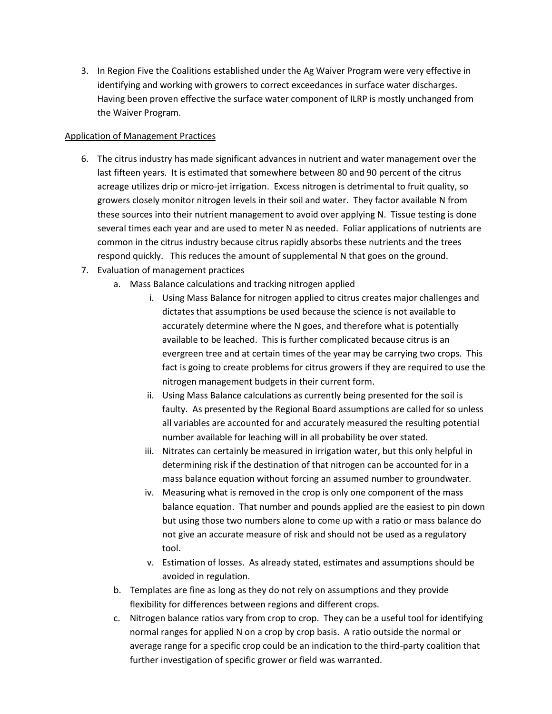3. In Region Five the Coalitions established under the Ag Waiver Program were very effective in identifying and working with growers to correct exceedances in surface water discharges. Having been proven effective the surface water component of ILRP is mostly unchanged from the Waiver Program.

## Application of Management Practices

- 6. The citrus industry has made significant advances in nutrient and water management over the last fifteen years. It is estimated that somewhere between 80 and 90 percent of the citrus acreage utilizes drip or micro-jet irrigation. Excess nitrogen is detrimental to fruit quality, so growers closely monitor nitrogen levels in their soil and water. They factor available N from these sources into their nutrient management to avoid over applying N. Tissue testing is done several times each year and are used to meter N as needed. Foliar applications of nutrients are common in the citrus industry because citrus rapidly absorbs these nutrients and the trees respond quickly. This reduces the amount of supplemental N that goes on the ground.
- 7. Evaluation of management practices
	- a. Mass Balance calculations and tracking nitrogen applied
		- i. Using Mass Balance for nitrogen applied to citrus creates major challenges and dictates that assumptions be used because the science is not available to accurately determine where the N goes, and therefore what is potentially available to be leached. This is further complicated because citrus is an evergreen tree and at certain times of the year may be carrying two crops. This fact is going to create problems for citrus growers if they are required to use the nitrogen management budgets in their current form.
		- ii. Using Mass Balance calculations as currently being presented for the soil is faulty. As presented by the Regional Board assumptions are called for so unless all variables are accounted for and accurately measured the resulting potential number available for leaching will in all probability be over stated.
		- iii. Nitrates can certainly be measured in irrigation water, but this only helpful in determining risk if the destination of that nitrogen can be accounted for in a mass balance equation without forcing an assumed number to groundwater.
		- iv. Measuring what is removed in the crop is only one component of the mass balance equation. That number and pounds applied are the easiest to pin down but using those two numbers alone to come up with a ratio or mass balance do not give an accurate measure of risk and should not be used as a regulatory tool.
		- v. Estimation of losses. As already stated, estimates and assumptions should be avoided in regulation.
	- b. Templates are fine as long as they do not rely on assumptions and they provide flexibility for differences between regions and different crops.
	- c. Nitrogen balance ratios vary from crop to crop. They can be a useful tool for identifying normal ranges for applied N on a crop by crop basis. A ratio outside the normal or average range for a specific crop could be an indication to the third-party coalition that further investigation of specific grower or field was warranted.